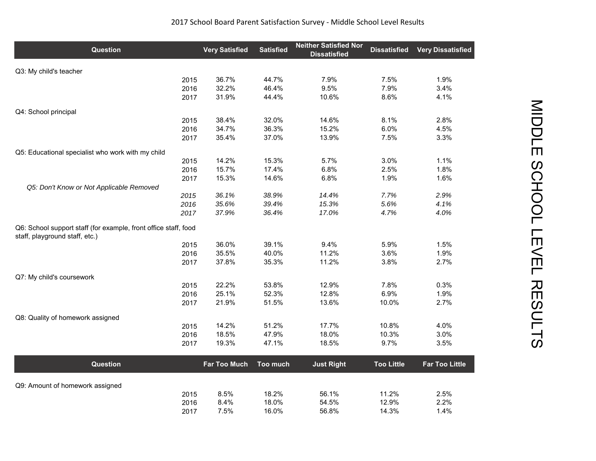| <b>Question</b>                                                                                   | <b>Very Satisfied</b> | <b>Satisfied</b> | <b>Neither Satisfied Nor</b><br><b>Dissatisfied</b> | <b>Dissatisfied</b> | <b>Very Dissatisfied</b> |
|---------------------------------------------------------------------------------------------------|-----------------------|------------------|-----------------------------------------------------|---------------------|--------------------------|
| Q3: My child's teacher                                                                            |                       |                  |                                                     |                     |                          |
| 2015                                                                                              | 36.7%                 | 44.7%            | 7.9%                                                | 7.5%                | 1.9%                     |
| 2016                                                                                              | 32.2%                 | 46.4%            | 9.5%                                                | 7.9%                | 3.4%                     |
| 2017                                                                                              | 31.9%                 | 44.4%            | 10.6%                                               | 8.6%                | 4.1%                     |
| Q4: School principal                                                                              |                       |                  |                                                     |                     |                          |
| 2015                                                                                              | 38.4%                 | 32.0%            | 14.6%                                               | 8.1%                | 2.8%                     |
| 2016                                                                                              | 34.7%                 | 36.3%            | 15.2%                                               | 6.0%                | 4.5%                     |
| 2017                                                                                              | 35.4%                 | 37.0%            | 13.9%                                               | 7.5%                | 3.3%                     |
| Q5: Educational specialist who work with my child                                                 |                       |                  |                                                     |                     |                          |
| 2015                                                                                              | 14.2%                 | 15.3%            | 5.7%                                                | 3.0%                | 1.1%                     |
| 2016                                                                                              | 15.7%                 | 17.4%            | 6.8%                                                | 2.5%                | 1.8%                     |
| 2017                                                                                              | 15.3%                 | 14.6%            | 6.8%                                                | 1.9%                | 1.6%                     |
| Q5: Don't Know or Not Applicable Removed                                                          |                       |                  |                                                     |                     |                          |
| 2015                                                                                              | 36.1%                 | 38.9%            | 14.4%                                               | 7.7%                | 2.9%                     |
| 2016                                                                                              | 35.6%                 | 39.4%            | 15.3%                                               | 5.6%                | 4.1%                     |
| 2017                                                                                              | 37.9%                 | 36.4%            | 17.0%                                               | 4.7%                | 4.0%                     |
| Q6: School support staff (for example, front office staff, food<br>staff, playground staff, etc.) |                       |                  |                                                     |                     |                          |
| 2015                                                                                              | 36.0%                 | 39.1%            | 9.4%                                                | 5.9%                | 1.5%                     |
| 2016                                                                                              | 35.5%                 | 40.0%            | 11.2%                                               | 3.6%                | 1.9%                     |
| 2017                                                                                              | 37.8%                 | 35.3%            | 11.2%                                               | 3.8%                | 2.7%                     |
| Q7: My child's coursework                                                                         |                       |                  |                                                     |                     |                          |
| 2015                                                                                              | 22.2%                 | 53.8%            | 12.9%                                               | 7.8%                | 0.3%                     |
| 2016                                                                                              | 25.1%                 | 52.3%            | 12.8%                                               | 6.9%                | 1.9%                     |
| 2017                                                                                              | 21.9%                 | 51.5%            | 13.6%                                               | 10.0%               | 2.7%                     |
| Q8: Quality of homework assigned                                                                  |                       |                  |                                                     |                     |                          |
| 2015                                                                                              | 14.2%                 | 51.2%            | 17.7%                                               | 10.8%               | 4.0%                     |
| 2016                                                                                              | 18.5%                 | 47.9%            | 18.0%                                               | 10.3%               | 3.0%                     |
| 2017                                                                                              | 19.3%                 | 47.1%            | 18.5%                                               | 9.7%                | 3.5%                     |
| <b>Question</b>                                                                                   | <b>Far Too Much</b>   | Too much         | <b>Just Right</b>                                   | <b>Too Little</b>   | <b>Far Too Little</b>    |
|                                                                                                   |                       |                  |                                                     |                     |                          |
| Q9: Amount of homework assigned<br>2015                                                           | 8.5%                  | 18.2%            | 56.1%                                               | 11.2%               | 2.5%                     |
| 2016                                                                                              | 8.4%                  | 18.0%            | 54.5%                                               | 12.9%               | 2.2%                     |
| 2017                                                                                              | 7.5%                  | 16.0%            | 56.8%                                               | 14.3%               | 1.4%                     |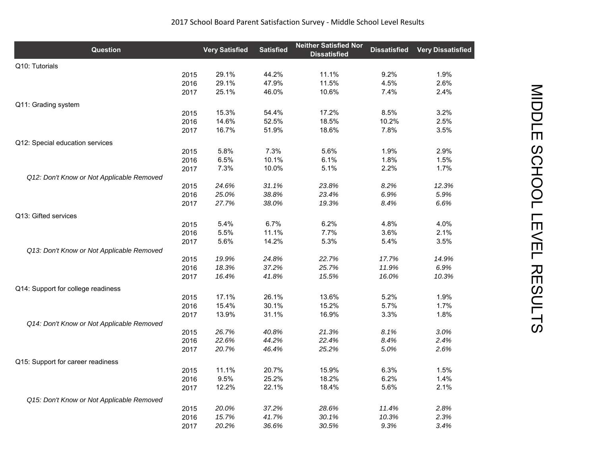| Q10: Tutorials<br>44.2%<br>11.1%<br>1.9%<br>2015<br>29.1%<br>9.2%<br>29.1%<br>47.9%<br>11.5%<br>4.5%<br>2.6%<br>2016<br>10.6%<br>2017<br>25.1%<br>46.0%<br>7.4%<br>2.4%<br>Q11: Grading system<br>15.3%<br>17.2%<br>8.5%<br>3.2%<br>54.4%<br>2015<br>14.6%<br>52.5%<br>18.5%<br>10.2%<br>2.5%<br>2016<br>16.7%<br>51.9%<br>18.6%<br>7.8%<br>3.5%<br>2017<br>Q12: Special education services<br>5.8%<br>7.3%<br>5.6%<br>1.9%<br>2.9%<br>2015<br>1.8%<br>2016<br>6.5%<br>10.1%<br>6.1%<br>1.5%<br>7.3%<br>10.0%<br>5.1%<br>2.2%<br>1.7%<br>2017<br>Q12: Don't Know or Not Applicable Removed<br>2015<br>24.6%<br>31.1%<br>23.8%<br>8.2%<br>12.3%<br>38.8%<br>6.9%<br>5.9%<br>2016<br>25.0%<br>23.4%<br>27.7%<br>38.0%<br>19.3%<br>8.4%<br>6.6%<br>2017<br>Q13: Gifted services<br>6.7%<br>5.4%<br>6.2%<br>4.8%<br>4.0%<br>2015<br>5.5%<br>11.1%<br>7.7%<br>3.6%<br>2.1%<br>2016<br>5.6%<br>14.2%<br>5.3%<br>5.4%<br>3.5%<br>2017<br>Q13: Don't Know or Not Applicable Removed<br>14.9%<br>2015<br>19.9%<br>24.8%<br>22.7%<br>17.7%<br>37.2%<br>25.7%<br>11.9%<br>6.9%<br>18.3%<br>2016<br>15.5%<br>16.4%<br>41.8%<br>16.0%<br>10.3%<br>2017<br>Q14: Support for college readiness<br>26.1%<br>13.6%<br>5.2%<br>1.9%<br>17.1%<br>2015<br>15.4%<br>30.1%<br>15.2%<br>5.7%<br>1.7%<br>2016<br>31.1%<br>16.9%<br>3.3%<br>2017<br>13.9%<br>1.8%<br>Q14: Don't Know or Not Applicable Removed<br>26.7%<br>40.8%<br>21.3%<br>8.1%<br>3.0%<br>2015<br>2016<br>22.6%<br>44.2%<br>22.4%<br>8.4%<br>2.4%<br>20.7%<br>25.2%<br>5.0%<br>2017<br>46.4%<br>2.6%<br>Q15: Support for career readiness<br>20.7%<br>15.9%<br>1.5%<br>11.1%<br>6.3%<br>2015<br>25.2%<br>18.2%<br>6.2%<br>9.5%<br>1.4%<br>2016<br>22.1%<br>18.4%<br>5.6%<br>2.1%<br>2017<br>12.2%<br>Q15: Don't Know or Not Applicable Removed<br>20.0%<br>37.2%<br>28.6%<br>11.4%<br>2.8%<br>2015<br>15.7%<br>41.7%<br>30.1%<br>10.3%<br>2.3%<br>2016<br>2017 | <b>Question</b> | <b>Very Satisfied</b> | <b>Satisfied</b> | <b>Neither Satisfied Nor</b><br><b>Dissatisfied</b> | <b>Dissatisfied</b> | <b>Very Dissatisfied</b> |
|----------------------------------------------------------------------------------------------------------------------------------------------------------------------------------------------------------------------------------------------------------------------------------------------------------------------------------------------------------------------------------------------------------------------------------------------------------------------------------------------------------------------------------------------------------------------------------------------------------------------------------------------------------------------------------------------------------------------------------------------------------------------------------------------------------------------------------------------------------------------------------------------------------------------------------------------------------------------------------------------------------------------------------------------------------------------------------------------------------------------------------------------------------------------------------------------------------------------------------------------------------------------------------------------------------------------------------------------------------------------------------------------------------------------------------------------------------------------------------------------------------------------------------------------------------------------------------------------------------------------------------------------------------------------------------------------------------------------------------------------------------------------------------------------------------------------------------------------------------------------------------------------------------|-----------------|-----------------------|------------------|-----------------------------------------------------|---------------------|--------------------------|
|                                                                                                                                                                                                                                                                                                                                                                                                                                                                                                                                                                                                                                                                                                                                                                                                                                                                                                                                                                                                                                                                                                                                                                                                                                                                                                                                                                                                                                                                                                                                                                                                                                                                                                                                                                                                                                                                                                          |                 |                       |                  |                                                     |                     |                          |
|                                                                                                                                                                                                                                                                                                                                                                                                                                                                                                                                                                                                                                                                                                                                                                                                                                                                                                                                                                                                                                                                                                                                                                                                                                                                                                                                                                                                                                                                                                                                                                                                                                                                                                                                                                                                                                                                                                          |                 |                       |                  |                                                     |                     |                          |
|                                                                                                                                                                                                                                                                                                                                                                                                                                                                                                                                                                                                                                                                                                                                                                                                                                                                                                                                                                                                                                                                                                                                                                                                                                                                                                                                                                                                                                                                                                                                                                                                                                                                                                                                                                                                                                                                                                          |                 |                       |                  |                                                     |                     |                          |
|                                                                                                                                                                                                                                                                                                                                                                                                                                                                                                                                                                                                                                                                                                                                                                                                                                                                                                                                                                                                                                                                                                                                                                                                                                                                                                                                                                                                                                                                                                                                                                                                                                                                                                                                                                                                                                                                                                          |                 |                       |                  |                                                     |                     |                          |
|                                                                                                                                                                                                                                                                                                                                                                                                                                                                                                                                                                                                                                                                                                                                                                                                                                                                                                                                                                                                                                                                                                                                                                                                                                                                                                                                                                                                                                                                                                                                                                                                                                                                                                                                                                                                                                                                                                          |                 |                       |                  |                                                     |                     |                          |
|                                                                                                                                                                                                                                                                                                                                                                                                                                                                                                                                                                                                                                                                                                                                                                                                                                                                                                                                                                                                                                                                                                                                                                                                                                                                                                                                                                                                                                                                                                                                                                                                                                                                                                                                                                                                                                                                                                          |                 |                       |                  |                                                     |                     |                          |
|                                                                                                                                                                                                                                                                                                                                                                                                                                                                                                                                                                                                                                                                                                                                                                                                                                                                                                                                                                                                                                                                                                                                                                                                                                                                                                                                                                                                                                                                                                                                                                                                                                                                                                                                                                                                                                                                                                          |                 |                       |                  |                                                     |                     |                          |
|                                                                                                                                                                                                                                                                                                                                                                                                                                                                                                                                                                                                                                                                                                                                                                                                                                                                                                                                                                                                                                                                                                                                                                                                                                                                                                                                                                                                                                                                                                                                                                                                                                                                                                                                                                                                                                                                                                          |                 |                       |                  |                                                     |                     |                          |
|                                                                                                                                                                                                                                                                                                                                                                                                                                                                                                                                                                                                                                                                                                                                                                                                                                                                                                                                                                                                                                                                                                                                                                                                                                                                                                                                                                                                                                                                                                                                                                                                                                                                                                                                                                                                                                                                                                          |                 |                       |                  |                                                     |                     |                          |
|                                                                                                                                                                                                                                                                                                                                                                                                                                                                                                                                                                                                                                                                                                                                                                                                                                                                                                                                                                                                                                                                                                                                                                                                                                                                                                                                                                                                                                                                                                                                                                                                                                                                                                                                                                                                                                                                                                          |                 |                       |                  |                                                     |                     |                          |
|                                                                                                                                                                                                                                                                                                                                                                                                                                                                                                                                                                                                                                                                                                                                                                                                                                                                                                                                                                                                                                                                                                                                                                                                                                                                                                                                                                                                                                                                                                                                                                                                                                                                                                                                                                                                                                                                                                          |                 |                       |                  |                                                     |                     |                          |
|                                                                                                                                                                                                                                                                                                                                                                                                                                                                                                                                                                                                                                                                                                                                                                                                                                                                                                                                                                                                                                                                                                                                                                                                                                                                                                                                                                                                                                                                                                                                                                                                                                                                                                                                                                                                                                                                                                          |                 |                       |                  |                                                     |                     |                          |
|                                                                                                                                                                                                                                                                                                                                                                                                                                                                                                                                                                                                                                                                                                                                                                                                                                                                                                                                                                                                                                                                                                                                                                                                                                                                                                                                                                                                                                                                                                                                                                                                                                                                                                                                                                                                                                                                                                          |                 |                       |                  |                                                     |                     |                          |
|                                                                                                                                                                                                                                                                                                                                                                                                                                                                                                                                                                                                                                                                                                                                                                                                                                                                                                                                                                                                                                                                                                                                                                                                                                                                                                                                                                                                                                                                                                                                                                                                                                                                                                                                                                                                                                                                                                          |                 |                       |                  |                                                     |                     |                          |
|                                                                                                                                                                                                                                                                                                                                                                                                                                                                                                                                                                                                                                                                                                                                                                                                                                                                                                                                                                                                                                                                                                                                                                                                                                                                                                                                                                                                                                                                                                                                                                                                                                                                                                                                                                                                                                                                                                          |                 |                       |                  |                                                     |                     |                          |
|                                                                                                                                                                                                                                                                                                                                                                                                                                                                                                                                                                                                                                                                                                                                                                                                                                                                                                                                                                                                                                                                                                                                                                                                                                                                                                                                                                                                                                                                                                                                                                                                                                                                                                                                                                                                                                                                                                          |                 |                       |                  |                                                     |                     |                          |
|                                                                                                                                                                                                                                                                                                                                                                                                                                                                                                                                                                                                                                                                                                                                                                                                                                                                                                                                                                                                                                                                                                                                                                                                                                                                                                                                                                                                                                                                                                                                                                                                                                                                                                                                                                                                                                                                                                          |                 |                       |                  |                                                     |                     |                          |
|                                                                                                                                                                                                                                                                                                                                                                                                                                                                                                                                                                                                                                                                                                                                                                                                                                                                                                                                                                                                                                                                                                                                                                                                                                                                                                                                                                                                                                                                                                                                                                                                                                                                                                                                                                                                                                                                                                          |                 |                       |                  |                                                     |                     |                          |
|                                                                                                                                                                                                                                                                                                                                                                                                                                                                                                                                                                                                                                                                                                                                                                                                                                                                                                                                                                                                                                                                                                                                                                                                                                                                                                                                                                                                                                                                                                                                                                                                                                                                                                                                                                                                                                                                                                          |                 |                       |                  |                                                     |                     |                          |
|                                                                                                                                                                                                                                                                                                                                                                                                                                                                                                                                                                                                                                                                                                                                                                                                                                                                                                                                                                                                                                                                                                                                                                                                                                                                                                                                                                                                                                                                                                                                                                                                                                                                                                                                                                                                                                                                                                          |                 |                       |                  |                                                     |                     |                          |
|                                                                                                                                                                                                                                                                                                                                                                                                                                                                                                                                                                                                                                                                                                                                                                                                                                                                                                                                                                                                                                                                                                                                                                                                                                                                                                                                                                                                                                                                                                                                                                                                                                                                                                                                                                                                                                                                                                          |                 |                       |                  |                                                     |                     |                          |
|                                                                                                                                                                                                                                                                                                                                                                                                                                                                                                                                                                                                                                                                                                                                                                                                                                                                                                                                                                                                                                                                                                                                                                                                                                                                                                                                                                                                                                                                                                                                                                                                                                                                                                                                                                                                                                                                                                          |                 |                       |                  |                                                     |                     |                          |
|                                                                                                                                                                                                                                                                                                                                                                                                                                                                                                                                                                                                                                                                                                                                                                                                                                                                                                                                                                                                                                                                                                                                                                                                                                                                                                                                                                                                                                                                                                                                                                                                                                                                                                                                                                                                                                                                                                          |                 |                       |                  |                                                     |                     |                          |
|                                                                                                                                                                                                                                                                                                                                                                                                                                                                                                                                                                                                                                                                                                                                                                                                                                                                                                                                                                                                                                                                                                                                                                                                                                                                                                                                                                                                                                                                                                                                                                                                                                                                                                                                                                                                                                                                                                          |                 |                       |                  |                                                     |                     |                          |
|                                                                                                                                                                                                                                                                                                                                                                                                                                                                                                                                                                                                                                                                                                                                                                                                                                                                                                                                                                                                                                                                                                                                                                                                                                                                                                                                                                                                                                                                                                                                                                                                                                                                                                                                                                                                                                                                                                          |                 |                       |                  |                                                     |                     |                          |
|                                                                                                                                                                                                                                                                                                                                                                                                                                                                                                                                                                                                                                                                                                                                                                                                                                                                                                                                                                                                                                                                                                                                                                                                                                                                                                                                                                                                                                                                                                                                                                                                                                                                                                                                                                                                                                                                                                          |                 |                       |                  |                                                     |                     |                          |
|                                                                                                                                                                                                                                                                                                                                                                                                                                                                                                                                                                                                                                                                                                                                                                                                                                                                                                                                                                                                                                                                                                                                                                                                                                                                                                                                                                                                                                                                                                                                                                                                                                                                                                                                                                                                                                                                                                          |                 |                       |                  |                                                     |                     |                          |
|                                                                                                                                                                                                                                                                                                                                                                                                                                                                                                                                                                                                                                                                                                                                                                                                                                                                                                                                                                                                                                                                                                                                                                                                                                                                                                                                                                                                                                                                                                                                                                                                                                                                                                                                                                                                                                                                                                          |                 |                       |                  |                                                     |                     |                          |
|                                                                                                                                                                                                                                                                                                                                                                                                                                                                                                                                                                                                                                                                                                                                                                                                                                                                                                                                                                                                                                                                                                                                                                                                                                                                                                                                                                                                                                                                                                                                                                                                                                                                                                                                                                                                                                                                                                          |                 |                       |                  |                                                     |                     |                          |
|                                                                                                                                                                                                                                                                                                                                                                                                                                                                                                                                                                                                                                                                                                                                                                                                                                                                                                                                                                                                                                                                                                                                                                                                                                                                                                                                                                                                                                                                                                                                                                                                                                                                                                                                                                                                                                                                                                          |                 |                       |                  |                                                     |                     |                          |
|                                                                                                                                                                                                                                                                                                                                                                                                                                                                                                                                                                                                                                                                                                                                                                                                                                                                                                                                                                                                                                                                                                                                                                                                                                                                                                                                                                                                                                                                                                                                                                                                                                                                                                                                                                                                                                                                                                          |                 |                       |                  |                                                     |                     |                          |
|                                                                                                                                                                                                                                                                                                                                                                                                                                                                                                                                                                                                                                                                                                                                                                                                                                                                                                                                                                                                                                                                                                                                                                                                                                                                                                                                                                                                                                                                                                                                                                                                                                                                                                                                                                                                                                                                                                          |                 |                       |                  |                                                     |                     |                          |
|                                                                                                                                                                                                                                                                                                                                                                                                                                                                                                                                                                                                                                                                                                                                                                                                                                                                                                                                                                                                                                                                                                                                                                                                                                                                                                                                                                                                                                                                                                                                                                                                                                                                                                                                                                                                                                                                                                          |                 |                       |                  |                                                     |                     |                          |
|                                                                                                                                                                                                                                                                                                                                                                                                                                                                                                                                                                                                                                                                                                                                                                                                                                                                                                                                                                                                                                                                                                                                                                                                                                                                                                                                                                                                                                                                                                                                                                                                                                                                                                                                                                                                                                                                                                          |                 |                       |                  |                                                     |                     |                          |
|                                                                                                                                                                                                                                                                                                                                                                                                                                                                                                                                                                                                                                                                                                                                                                                                                                                                                                                                                                                                                                                                                                                                                                                                                                                                                                                                                                                                                                                                                                                                                                                                                                                                                                                                                                                                                                                                                                          |                 |                       |                  |                                                     |                     |                          |
|                                                                                                                                                                                                                                                                                                                                                                                                                                                                                                                                                                                                                                                                                                                                                                                                                                                                                                                                                                                                                                                                                                                                                                                                                                                                                                                                                                                                                                                                                                                                                                                                                                                                                                                                                                                                                                                                                                          |                 |                       |                  |                                                     |                     |                          |
|                                                                                                                                                                                                                                                                                                                                                                                                                                                                                                                                                                                                                                                                                                                                                                                                                                                                                                                                                                                                                                                                                                                                                                                                                                                                                                                                                                                                                                                                                                                                                                                                                                                                                                                                                                                                                                                                                                          |                 |                       |                  |                                                     |                     |                          |
|                                                                                                                                                                                                                                                                                                                                                                                                                                                                                                                                                                                                                                                                                                                                                                                                                                                                                                                                                                                                                                                                                                                                                                                                                                                                                                                                                                                                                                                                                                                                                                                                                                                                                                                                                                                                                                                                                                          |                 |                       |                  |                                                     |                     |                          |
|                                                                                                                                                                                                                                                                                                                                                                                                                                                                                                                                                                                                                                                                                                                                                                                                                                                                                                                                                                                                                                                                                                                                                                                                                                                                                                                                                                                                                                                                                                                                                                                                                                                                                                                                                                                                                                                                                                          |                 |                       |                  |                                                     |                     |                          |
|                                                                                                                                                                                                                                                                                                                                                                                                                                                                                                                                                                                                                                                                                                                                                                                                                                                                                                                                                                                                                                                                                                                                                                                                                                                                                                                                                                                                                                                                                                                                                                                                                                                                                                                                                                                                                                                                                                          |                 |                       |                  |                                                     |                     |                          |
|                                                                                                                                                                                                                                                                                                                                                                                                                                                                                                                                                                                                                                                                                                                                                                                                                                                                                                                                                                                                                                                                                                                                                                                                                                                                                                                                                                                                                                                                                                                                                                                                                                                                                                                                                                                                                                                                                                          |                 | 20.2%                 | 36.6%            | 30.5%                                               | 9.3%                | 3.4%                     |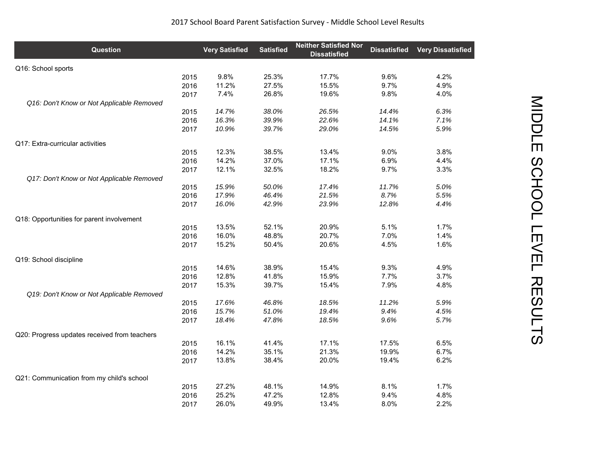| <b>Question</b>                              |      | <b>Very Satisfied</b> | <b>Satisfied</b> | <b>Neither Satisfied Nor</b><br><b>Dissatisfied</b> | <b>Dissatisfied</b> | <b>Very Dissatisfied</b> |
|----------------------------------------------|------|-----------------------|------------------|-----------------------------------------------------|---------------------|--------------------------|
| Q16: School sports                           |      |                       |                  |                                                     |                     |                          |
|                                              | 2015 | 9.8%                  | 25.3%            | 17.7%                                               | 9.6%                | 4.2%                     |
|                                              | 2016 | 11.2%                 | 27.5%            | 15.5%                                               | 9.7%                | 4.9%                     |
|                                              | 2017 | 7.4%                  | 26.8%            | 19.6%                                               | 9.8%                | 4.0%                     |
| Q16: Don't Know or Not Applicable Removed    |      |                       |                  |                                                     |                     |                          |
|                                              | 2015 | 14.7%                 | 38.0%            | 26.5%                                               | 14.4%               | 6.3%                     |
|                                              | 2016 | 16.3%                 | 39.9%            | 22.6%                                               | 14.1%               | 7.1%                     |
|                                              | 2017 | 10.9%                 | 39.7%            | 29.0%                                               | 14.5%               | 5.9%                     |
| Q17: Extra-curricular activities             |      |                       |                  |                                                     |                     |                          |
|                                              | 2015 | 12.3%                 | 38.5%            | 13.4%                                               | 9.0%                | 3.8%                     |
|                                              | 2016 | 14.2%                 | 37.0%            | 17.1%                                               | 6.9%                | 4.4%                     |
|                                              | 2017 | 12.1%                 | 32.5%            | 18.2%                                               | 9.7%                | 3.3%                     |
| Q17: Don't Know or Not Applicable Removed    |      |                       |                  |                                                     |                     |                          |
|                                              | 2015 | 15.9%                 | 50.0%            | 17.4%                                               | 11.7%               | 5.0%                     |
|                                              | 2016 | 17.9%                 | 46.4%            | 21.5%                                               | 8.7%                | 5.5%                     |
|                                              | 2017 | 16.0%                 | 42.9%            | 23.9%                                               | 12.8%               | 4.4%                     |
| Q18: Opportunities for parent involvement    |      |                       |                  |                                                     |                     |                          |
|                                              | 2015 | 13.5%                 | 52.1%            | 20.9%                                               | 5.1%                | 1.7%                     |
|                                              | 2016 | 16.0%                 | 48.8%            | 20.7%                                               | 7.0%                | 1.4%                     |
|                                              | 2017 | 15.2%                 | 50.4%            | 20.6%                                               | 4.5%                | 1.6%                     |
| Q19: School discipline                       |      |                       |                  |                                                     |                     |                          |
|                                              | 2015 | 14.6%                 | 38.9%            | 15.4%                                               | 9.3%                | 4.9%                     |
|                                              | 2016 | 12.8%                 | 41.8%            | 15.9%                                               | 7.7%                | 3.7%                     |
|                                              | 2017 | 15.3%                 | 39.7%            | 15.4%                                               | 7.9%                | 4.8%                     |
| Q19: Don't Know or Not Applicable Removed    |      |                       |                  |                                                     |                     |                          |
|                                              | 2015 | 17.6%                 | 46.8%            | 18.5%                                               | 11.2%               | 5.9%                     |
|                                              | 2016 | 15.7%                 | 51.0%            | 19.4%                                               | 9.4%                | 4.5%                     |
|                                              | 2017 | 18.4%                 | 47.8%            | 18.5%                                               | 9.6%                | 5.7%                     |
| Q20: Progress updates received from teachers |      |                       |                  |                                                     |                     |                          |
|                                              | 2015 | 16.1%                 | 41.4%            | 17.1%                                               | 17.5%               | 6.5%                     |
|                                              | 2016 | 14.2%                 | 35.1%            | 21.3%                                               | 19.9%               | 6.7%                     |
|                                              | 2017 | 13.8%                 | 38.4%            | 20.0%                                               | 19.4%               | 6.2%                     |
| Q21: Communication from my child's school    |      |                       |                  |                                                     |                     |                          |
|                                              | 2015 | 27.2%                 | 48.1%            | 14.9%                                               | 8.1%                | 1.7%                     |
|                                              | 2016 | 25.2%                 | 47.2%            | 12.8%                                               | 9.4%                | 4.8%                     |
|                                              | 2017 | 26.0%                 | 49.9%            | 13.4%                                               | 8.0%                | 2.2%                     |